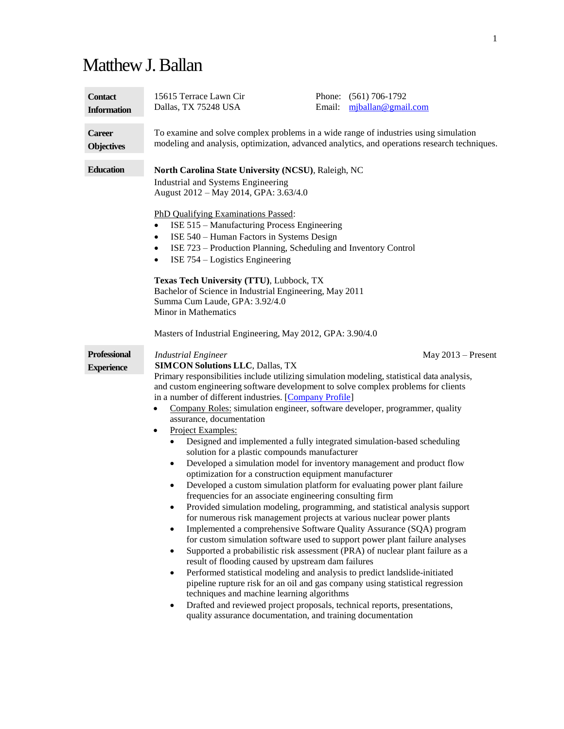# Matthew J. Ballan

| <b>Contact</b>                           | 15615 Terrace Lawn Cir                                                                                                                                                                                                                                                                                                                                                                                                                                                                                                                                                                                                                                                                                                                                                                                                                                                                                                                                                                                                                                                                                                                        | Email: | Phone: (561) 706-1792                                                                                                                                                                                                                                                                                                                                                                                                                                                                                                                                                                                                                                          |  |
|------------------------------------------|-----------------------------------------------------------------------------------------------------------------------------------------------------------------------------------------------------------------------------------------------------------------------------------------------------------------------------------------------------------------------------------------------------------------------------------------------------------------------------------------------------------------------------------------------------------------------------------------------------------------------------------------------------------------------------------------------------------------------------------------------------------------------------------------------------------------------------------------------------------------------------------------------------------------------------------------------------------------------------------------------------------------------------------------------------------------------------------------------------------------------------------------------|--------|----------------------------------------------------------------------------------------------------------------------------------------------------------------------------------------------------------------------------------------------------------------------------------------------------------------------------------------------------------------------------------------------------------------------------------------------------------------------------------------------------------------------------------------------------------------------------------------------------------------------------------------------------------------|--|
| <b>Information</b>                       | Dallas, TX 75248 USA                                                                                                                                                                                                                                                                                                                                                                                                                                                                                                                                                                                                                                                                                                                                                                                                                                                                                                                                                                                                                                                                                                                          |        | $m$ jballan@gmail.com                                                                                                                                                                                                                                                                                                                                                                                                                                                                                                                                                                                                                                          |  |
| <b>Career</b>                            | To examine and solve complex problems in a wide range of industries using simulation                                                                                                                                                                                                                                                                                                                                                                                                                                                                                                                                                                                                                                                                                                                                                                                                                                                                                                                                                                                                                                                          |        |                                                                                                                                                                                                                                                                                                                                                                                                                                                                                                                                                                                                                                                                |  |
| <b>Objectives</b>                        | modeling and analysis, optimization, advanced analytics, and operations research techniques.                                                                                                                                                                                                                                                                                                                                                                                                                                                                                                                                                                                                                                                                                                                                                                                                                                                                                                                                                                                                                                                  |        |                                                                                                                                                                                                                                                                                                                                                                                                                                                                                                                                                                                                                                                                |  |
| <b>Education</b>                         | North Carolina State University (NCSU), Raleigh, NC<br>Industrial and Systems Engineering<br>August 2012 - May 2014, GPA: 3.63/4.0<br>PhD Qualifying Examinations Passed:<br>ISE 515 - Manufacturing Process Engineering<br>$\bullet$<br>ISE 540 - Human Factors in Systems Design<br>$\bullet$<br>ISE 723 – Production Planning, Scheduling and Inventory Control<br>$\bullet$<br>ISE 754 – Logistics Engineering<br>$\bullet$<br>Texas Tech University (TTU), Lubbock, TX<br>Bachelor of Science in Industrial Engineering, May 2011<br>Summa Cum Laude, GPA: 3.92/4.0<br>Minor in Mathematics<br>Masters of Industrial Engineering, May 2012, GPA: 3.90/4.0                                                                                                                                                                                                                                                                                                                                                                                                                                                                                |        |                                                                                                                                                                                                                                                                                                                                                                                                                                                                                                                                                                                                                                                                |  |
| <b>Professional</b><br><b>Experience</b> | <b>Industrial Engineer</b><br><b>SIMCON Solutions LLC, Dallas, TX</b><br>Primary responsibilities include utilizing simulation modeling, statistical data analysis,<br>and custom engineering software development to solve complex problems for clients<br>in a number of different industries. [Company Profile]<br>Company Roles: simulation engineer, software developer, programmer, quality<br>$\bullet$<br>assurance, documentation<br>Project Examples:<br>$\bullet$<br>$\bullet$<br>solution for a plastic compounds manufacturer<br>$\bullet$<br>optimization for a construction equipment manufacturer<br>$\bullet$<br>frequencies for an associate engineering consulting firm<br>٠<br>for numerous risk management projects at various nuclear power plants<br>$\bullet$<br>result of flooding caused by upstream dam failures<br>Performed statistical modeling and analysis to predict landslide-initiated<br>$\bullet$<br>techniques and machine learning algorithms<br>Drafted and reviewed project proposals, technical reports, presentations,<br>$\bullet$<br>quality assurance documentation, and training documentation |        | $May 2013 - Present$<br>Designed and implemented a fully integrated simulation-based scheduling<br>Developed a simulation model for inventory management and product flow<br>Developed a custom simulation platform for evaluating power plant failure<br>Provided simulation modeling, programming, and statistical analysis support<br>Implemented a comprehensive Software Quality Assurance (SQA) program<br>for custom simulation software used to support power plant failure analyses<br>Supported a probabilistic risk assessment (PRA) of nuclear plant failure as a<br>pipeline rupture risk for an oil and gas company using statistical regression |  |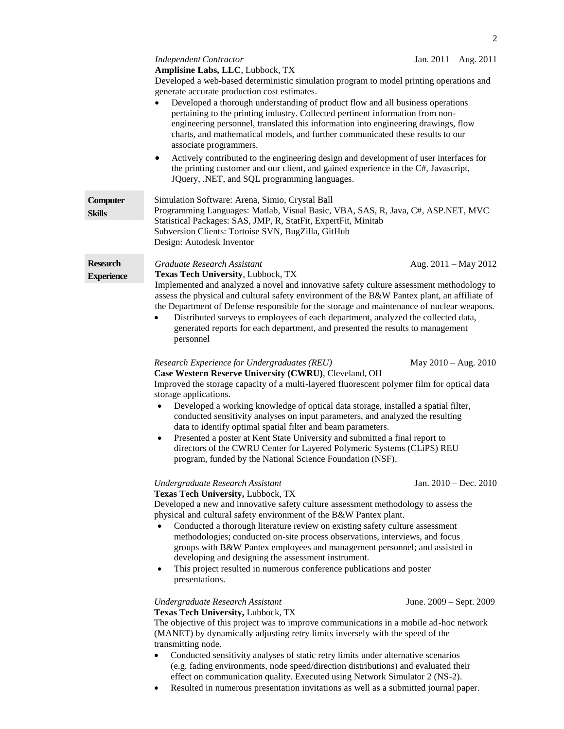|                                                                                                                                                                                                                                                                                                                                                                                                                                                                                     | 2                       |
|-------------------------------------------------------------------------------------------------------------------------------------------------------------------------------------------------------------------------------------------------------------------------------------------------------------------------------------------------------------------------------------------------------------------------------------------------------------------------------------|-------------------------|
| <b>Independent Contractor</b>                                                                                                                                                                                                                                                                                                                                                                                                                                                       | Jan. $2011 - Aug. 2011$ |
| Amplisine Labs, LLC, Lubbock, TX                                                                                                                                                                                                                                                                                                                                                                                                                                                    |                         |
| Developed a web-based deterministic simulation program to model printing operations and<br>generate accurate production cost estimates.<br>Developed a thorough understanding of product flow and all business operations<br>pertaining to the printing industry. Collected pertinent information from non-<br>engineering personnel, translated this information into engineering drawings, flow<br>charts, and mathematical models, and further communicated these results to our |                         |
| associate programmers.                                                                                                                                                                                                                                                                                                                                                                                                                                                              |                         |
| Actively contributed to the engineering design and development of user interfaces for<br>$\bullet$<br>the printing customer and our client, and gained experience in the C#, Javascript,<br>JQuery, .NET, and SQL programming languages.                                                                                                                                                                                                                                            |                         |
| Simulation Software: Arena, Simio, Crystal Ball                                                                                                                                                                                                                                                                                                                                                                                                                                     |                         |
| Programming Languages: Matlab, Visual Basic, VBA, SAS, R, Java, C#, ASP.NET, MVC                                                                                                                                                                                                                                                                                                                                                                                                    |                         |
| Statistical Packages: SAS, JMP, R, StatFit, ExpertFit, Minitab                                                                                                                                                                                                                                                                                                                                                                                                                      |                         |
| Subversion Clients: Tortoise SVN, BugZilla, GitHub                                                                                                                                                                                                                                                                                                                                                                                                                                  |                         |
| Design: Autodesk Inventor                                                                                                                                                                                                                                                                                                                                                                                                                                                           |                         |
| Graduate Research Assistant                                                                                                                                                                                                                                                                                                                                                                                                                                                         | Aug. $2011 - May 2012$  |
| <b>Texas Tech University, Lubbock, TX</b>                                                                                                                                                                                                                                                                                                                                                                                                                                           |                         |
| Implemented and analyzed a novel and innovative safety culture assessment methodology to                                                                                                                                                                                                                                                                                                                                                                                            |                         |

Implemented and analyzed a novel and innovative safety culture assessment methodology to assess the physical and cultural safety environment of the B&W Pantex plant, an affiliate of the Department of Defense responsible for the storage and maintenance of nuclear weapons.

 Distributed surveys to employees of each department, analyzed the collected data, generated reports for each department, and presented the results to management personnel

## *Research Experience for Undergraduates (REU)* May 2010 – Aug. 2010

**Case Western Reserve University (CWRU)**, Cleveland, OH Improved the storage capacity of a multi-layered fluorescent polymer film for optical data storage applications.

- Developed a working knowledge of optical data storage, installed a spatial filter, conducted sensitivity analyses on input parameters, and analyzed the resulting data to identify optimal spatial filter and beam parameters.
- Presented a poster at Kent State University and submitted a final report to directors of the CWRU Center for Layered Polymeric Systems (CLiPS) REU program, funded by the National Science Foundation (NSF).

### *Undergraduate Research Assistant* Jan. 2010 – Dec. 2010

### **Texas Tech University,** Lubbock, TX

**Computer Skills**

**Research Experience**

Developed a new and innovative safety culture assessment methodology to assess the physical and cultural safety environment of the B&W Pantex plant.

- Conducted a thorough literature review on existing safety culture assessment methodologies; conducted on-site process observations, interviews, and focus groups with B&W Pantex employees and management personnel; and assisted in developing and designing the assessment instrument.
- This project resulted in numerous conference publications and poster presentations.

#### *Undergraduate Research Assistant* June. 2009 – Sept. 2009 **Texas Tech University,** Lubbock, TX

The objective of this project was to improve communications in a mobile ad-hoc network (MANET) by dynamically adjusting retry limits inversely with the speed of the transmitting node.

- Conducted sensitivity analyses of static retry limits under alternative scenarios (e.g. fading environments, node speed/direction distributions) and evaluated their effect on communication quality. Executed using Network Simulator 2 (NS-2).
- Resulted in numerous presentation invitations as well as a submitted journal paper.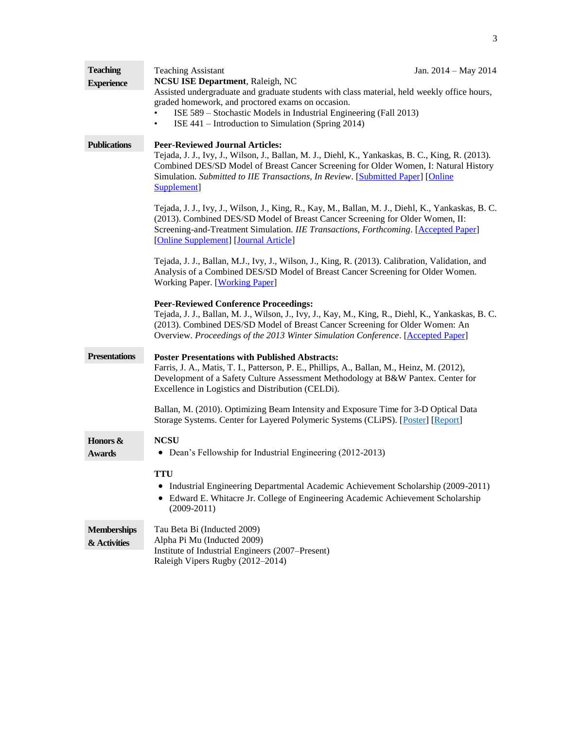| <b>Teaching</b><br><b>Experience</b> | <b>Teaching Assistant</b><br><b>NCSU ISE Department</b> , Raleigh, NC                                                                                                                                                                                                                                                                | Jan. 2014 - May 2014 |  |
|--------------------------------------|--------------------------------------------------------------------------------------------------------------------------------------------------------------------------------------------------------------------------------------------------------------------------------------------------------------------------------------|----------------------|--|
|                                      | Assisted undergraduate and graduate students with class material, held weekly office hours,<br>graded homework, and proctored exams on occasion.<br>ISE 589 – Stochastic Models in Industrial Engineering (Fall 2013)<br>ISE 441 – Introduction to Simulation (Spring 2014)<br>٠                                                     |                      |  |
| <b>Publications</b>                  | <b>Peer-Reviewed Journal Articles:</b><br>Tejada, J. J., Ivy, J., Wilson, J., Ballan, M. J., Diehl, K., Yankaskas, B. C., King, R. (2013).<br>Combined DES/SD Model of Breast Cancer Screening for Older Women, I: Natural History<br>Simulation. Submitted to IIE Transactions, In Review. [Submitted Paper] [Online<br>Supplement] |                      |  |
|                                      | Tejada, J. J., Ivy, J., Wilson, J., King, R., Kay, M., Ballan, M. J., Diehl, K., Yankaskas, B. C.<br>(2013). Combined DES/SD Model of Breast Cancer Screening for Older Women, II:<br>Screening-and-Treatment Simulation. IIE Transactions, Forthcoming. [Accepted Paper]<br>[Online Supplement] [Journal Article]                   |                      |  |
|                                      | Tejada, J. J., Ballan, M.J., Ivy, J., Wilson, J., King, R. (2013). Calibration, Validation, and<br>Analysis of a Combined DES/SD Model of Breast Cancer Screening for Older Women.<br>Working Paper. [Working Paper]                                                                                                                 |                      |  |
|                                      | <b>Peer-Reviewed Conference Proceedings:</b><br>Tejada, J. J., Ballan, M. J., Wilson, J., Ivy, J., Kay, M., King, R., Diehl, K., Yankaskas, B. C.<br>(2013). Combined DES/SD Model of Breast Cancer Screening for Older Women: An<br>Overview. Proceedings of the 2013 Winter Simulation Conference. [Accepted Paper]                |                      |  |
| <b>Presentations</b>                 | <b>Poster Presentations with Published Abstracts:</b><br>Farris, J. A., Matis, T. I., Patterson, P. E., Phillips, A., Ballan, M., Heinz, M. (2012),<br>Development of a Safety Culture Assessment Methodology at B&W Pantex. Center for<br>Excellence in Logistics and Distribution (CELDi).                                         |                      |  |
|                                      | Ballan, M. (2010). Optimizing Beam Intensity and Exposure Time for 3-D Optical Data<br>Storage Systems. Center for Layered Polymeric Systems (CLiPS). [Poster] [Report]                                                                                                                                                              |                      |  |
| Honors &<br><b>Awards</b>            | <b>NCSU</b><br>Dean's Fellowship for Industrial Engineering (2012-2013)<br>٠                                                                                                                                                                                                                                                         |                      |  |
|                                      | <b>TTU</b><br>Industrial Engineering Departmental Academic Achievement Scholarship (2009-2011)<br>Edward E. Whitacre Jr. College of Engineering Academic Achievement Scholarship<br>٠<br>$(2009 - 2011)$                                                                                                                             |                      |  |
| <b>Memberships</b><br>& Activities   | Tau Beta Bi (Inducted 2009)<br>Alpha Pi Mu (Inducted 2009)<br>Institute of Industrial Engineers (2007–Present)<br>Raleigh Vipers Rugby (2012-2014)                                                                                                                                                                                   |                      |  |